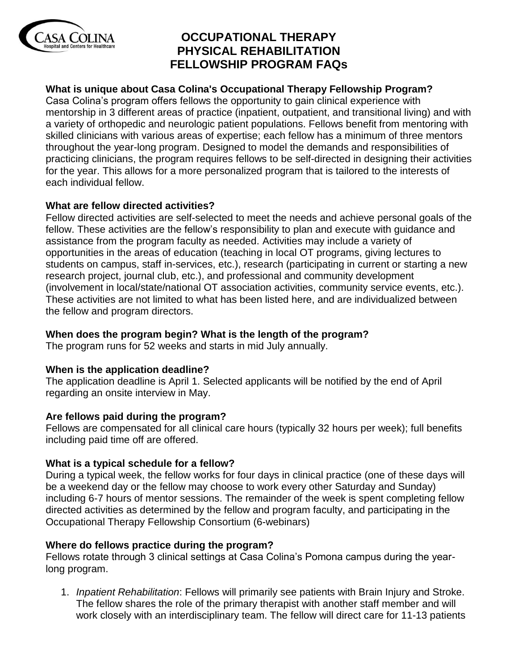

# **OCCUPATIONAL THERAPY PHYSICAL REHABILITATION FELLOWSHIP PROGRAM FAQs**

## **What is unique about Casa Colina's Occupational Therapy Fellowship Program?**

Casa Colina's program offers fellows the opportunity to gain clinical experience with mentorship in 3 different areas of practice (inpatient, outpatient, and transitional living) and with a variety of orthopedic and neurologic patient populations. Fellows benefit from mentoring with skilled clinicians with various areas of expertise; each fellow has a minimum of three mentors throughout the year-long program. Designed to model the demands and responsibilities of practicing clinicians, the program requires fellows to be self-directed in designing their activities for the year. This allows for a more personalized program that is tailored to the interests of each individual fellow.

## **What are fellow directed activities?**

Fellow directed activities are self-selected to meet the needs and achieve personal goals of the fellow. These activities are the fellow's responsibility to plan and execute with guidance and assistance from the program faculty as needed. Activities may include a variety of opportunities in the areas of education (teaching in local OT programs, giving lectures to students on campus, staff in-services, etc.), research (participating in current or starting a new research project, journal club, etc.), and professional and community development (involvement in local/state/national OT association activities, community service events, etc.). These activities are not limited to what has been listed here, and are individualized between the fellow and program directors.

## **When does the program begin? What is the length of the program?**

The program runs for 52 weeks and starts in mid July annually.

## **When is the application deadline?**

The application deadline is April 1. Selected applicants will be notified by the end of April regarding an onsite interview in May.

## **Are fellows paid during the program?**

Fellows are compensated for all clinical care hours (typically 32 hours per week); full benefits including paid time off are offered.

## **What is a typical schedule for a fellow?**

During a typical week, the fellow works for four days in clinical practice (one of these days will be a weekend day or the fellow may choose to work every other Saturday and Sunday) including 6-7 hours of mentor sessions. The remainder of the week is spent completing fellow directed activities as determined by the fellow and program faculty, and participating in the Occupational Therapy Fellowship Consortium (6-webinars)

## **Where do fellows practice during the program?**

Fellows rotate through 3 clinical settings at Casa Colina's Pomona campus during the yearlong program.

1. *Inpatient Rehabilitation*: Fellows will primarily see patients with Brain Injury and Stroke. The fellow shares the role of the primary therapist with another staff member and will work closely with an interdisciplinary team. The fellow will direct care for 11-13 patients